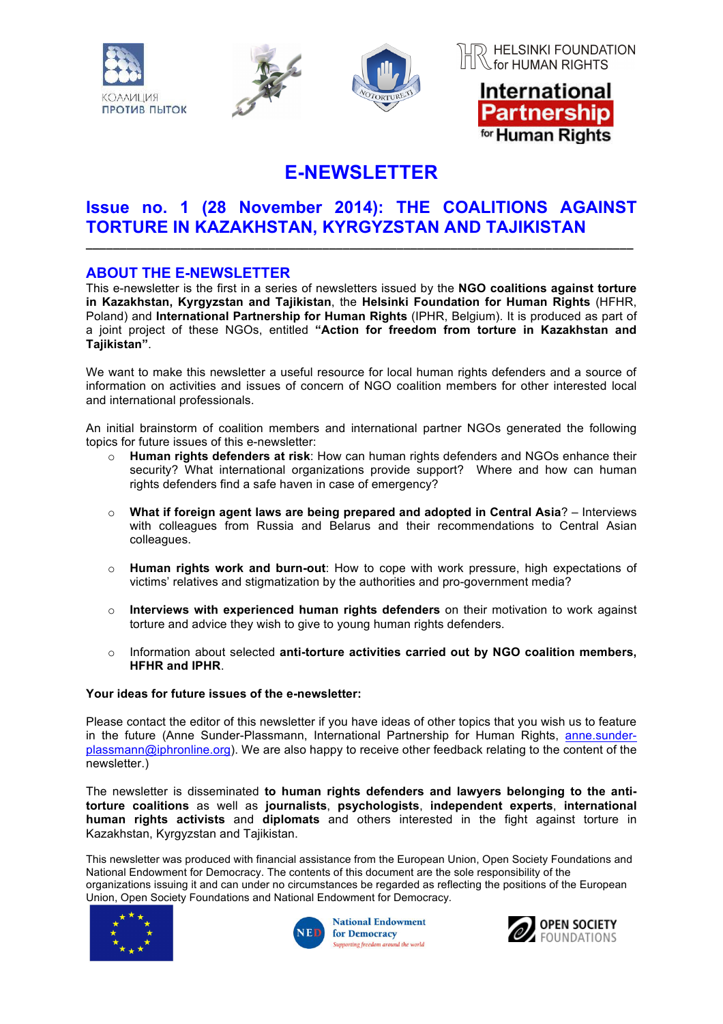

# **E-NEWSLETTER**

## **Issue no. 1 (28 November 2014): THE COALITIONS AGAINST TORTURE IN KAZAKHSTAN, KYRGYZSTAN AND TAJIKISTAN**

**\_\_\_\_\_\_\_\_\_\_\_\_\_\_\_\_\_\_\_\_\_\_\_\_\_\_\_\_\_\_\_\_\_\_\_\_\_\_\_\_\_\_\_\_\_\_\_\_\_\_\_\_\_\_\_\_\_\_\_\_\_\_\_\_\_\_\_\_\_\_\_\_\_\_\_\_\_\_\_\_\_**

### **ABOUT THE E-NEWSLETTER**

This e-newsletter is the first in a series of newsletters issued by the **NGO coalitions against torture in Kazakhstan, Kyrgyzstan and Tajikistan**, the **Helsinki Foundation for Human Rights** (HFHR, Poland) and **International Partnership for Human Rights** (IPHR, Belgium). It is produced as part of a joint project of these NGOs, entitled **"Action for freedom from torture in Kazakhstan and Tajikistan"**.

We want to make this newsletter a useful resource for local human rights defenders and a source of information on activities and issues of concern of NGO coalition members for other interested local and international professionals.

An initial brainstorm of coalition members and international partner NGOs generated the following topics for future issues of this e-newsletter:

- o **Human rights defenders at risk**: How can human rights defenders and NGOs enhance their security? What international organizations provide support? Where and how can human rights defenders find a safe haven in case of emergency?
- o **What if foreign agent laws are being prepared and adopted in Central Asia**? Interviews with colleagues from Russia and Belarus and their recommendations to Central Asian colleagues.
- o **Human rights work and burn-out**: How to cope with work pressure, high expectations of victims' relatives and stigmatization by the authorities and pro-government media?
- o **Interviews with experienced human rights defenders** on their motivation to work against torture and advice they wish to give to young human rights defenders.
- o Information about selected **anti-torture activities carried out by NGO coalition members, HFHR and IPHR**.

#### **Your ideas for future issues of the e-newsletter:**

Please contact the editor of this newsletter if you have ideas of other topics that you wish us to feature in the future (Anne Sunder-Plassmann, International Partnership for Human Rights, anne.sunderplassmann@iphronline.org). We are also happy to receive other feedback relating to the content of the newsletter.)

The newsletter is disseminated **to human rights defenders and lawyers belonging to the antitorture coalitions** as well as **journalists**, **psychologists**, **independent experts**, **international human rights activists** and **diplomats** and others interested in the fight against torture in Kazakhstan, Kyrgyzstan and Tajikistan.

This newsletter was produced with financial assistance from the European Union, Open Society Foundations and National Endowment for Democracy. The contents of this document are the sole responsibility of the organizations issuing it and can under no circumstances be regarded as reflecting the positions of the European Union, Open Society Foundations and National Endowment for Democracy*.*





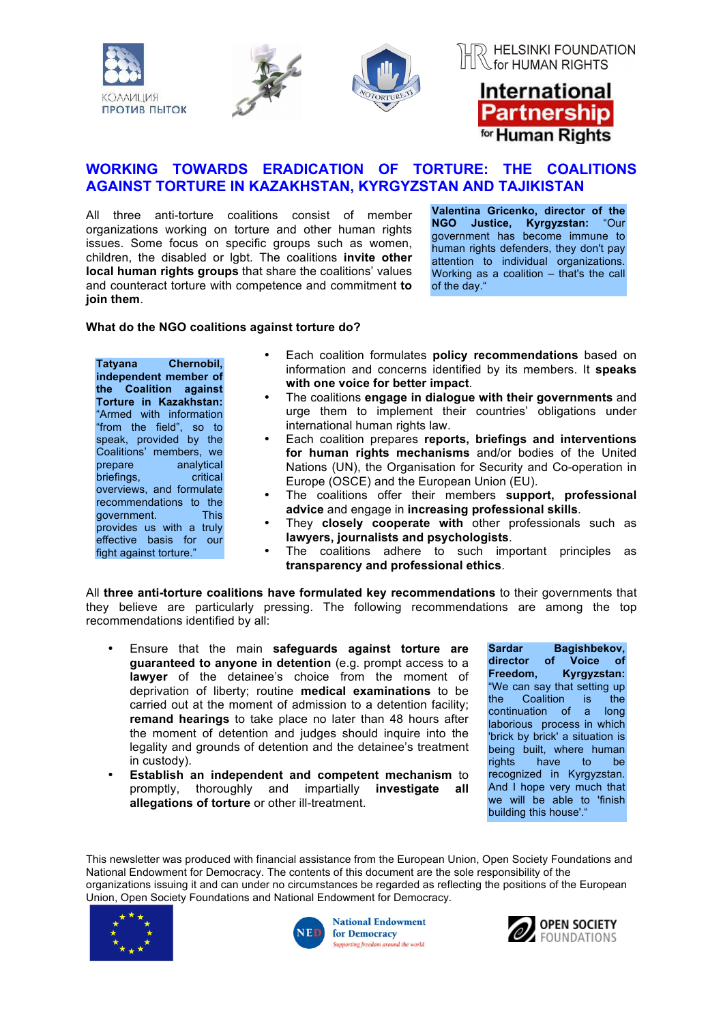



## International Partnership for Human Rights

## **WORKING TOWARDS ERADICATION OF TORTURE: THE COALITIONS AGAINST TORTURE IN KAZAKHSTAN, KYRGYZSTAN AND TAJIKISTAN**

All three anti-torture coalitions consist of member organizations working on torture and other human rights issues. Some focus on specific groups such as women, children, the disabled or lgbt. The coalitions **invite other local human rights groups** that share the coalitions' values and counteract torture with competence and commitment **to join them**.

**Valentina Gricenko, director of the NGO Justice, Kyrgyzstan:** "Our government has become immune to human rights defenders, they don't pay attention to individual organizations. Working as a coalition – that's the call of the day."

#### **What do the NGO coalitions against torture do?**

**Tatyana Chernobil, independent member of the Coalition against Torture in Kazakhstan:** "Armed with information "from the field", so to speak, provided by the Coalitions' members, we<br>prepare analytical analytical briefings, critical overviews, and formulate recommendations to the government. This provides us with a truly effective basis for our fight against torture."

- Each coalition formulates **policy recommendations** based on information and concerns identified by its members. It **speaks with one voice for better impact**.
- The coalitions **engage in dialogue with their governments** and urge them to implement their countries' obligations under international human rights law.
- Each coalition prepares **reports, briefings and interventions for human rights mechanisms** and/or bodies of the United Nations (UN), the Organisation for Security and Co-operation in Europe (OSCE) and the European Union (EU).
- The coalitions offer their members **support, professional advice** and engage in **increasing professional skills**.
- They **closely cooperate with** other professionals such as **lawyers, journalists and psychologists**.
- The coalitions adhere to such important principles as **transparency and professional ethics**.

All **three anti-torture coalitions have formulated key recommendations** to their governments that they believe are particularly pressing. The following recommendations are among the top recommendations identified by all:

- Ensure that the main **safeguards against torture are guaranteed to anyone in detention** (e.g. prompt access to a **lawyer** of the detainee's choice from the moment of deprivation of liberty; routine **medical examinations** to be carried out at the moment of admission to a detention facility; **remand hearings** to take place no later than 48 hours after the moment of detention and judges should inquire into the legality and grounds of detention and the detainee's treatment in custody).
- **Establish an independent and competent mechanism** to promptly, thoroughly and impartially **investigate all allegations of torture** or other ill-treatment.

**Sardar Bagishbekov, director of Voice of Freedom, Kyrgyzstan:** "We can say that setting up the Coalition is the continuation of a long laborious process in which 'brick by brick' a situation is being built, where human rights have to be recognized in Kyrgyzstan. And I hope very much that we will be able to 'finish building this house'."

This newsletter was produced with financial assistance from the European Union, Open Society Foundations and National Endowment for Democracy. The contents of this document are the sole responsibility of the organizations issuing it and can under no circumstances be regarded as reflecting the positions of the European Union, Open Society Foundations and National Endowment for Democracy*.*





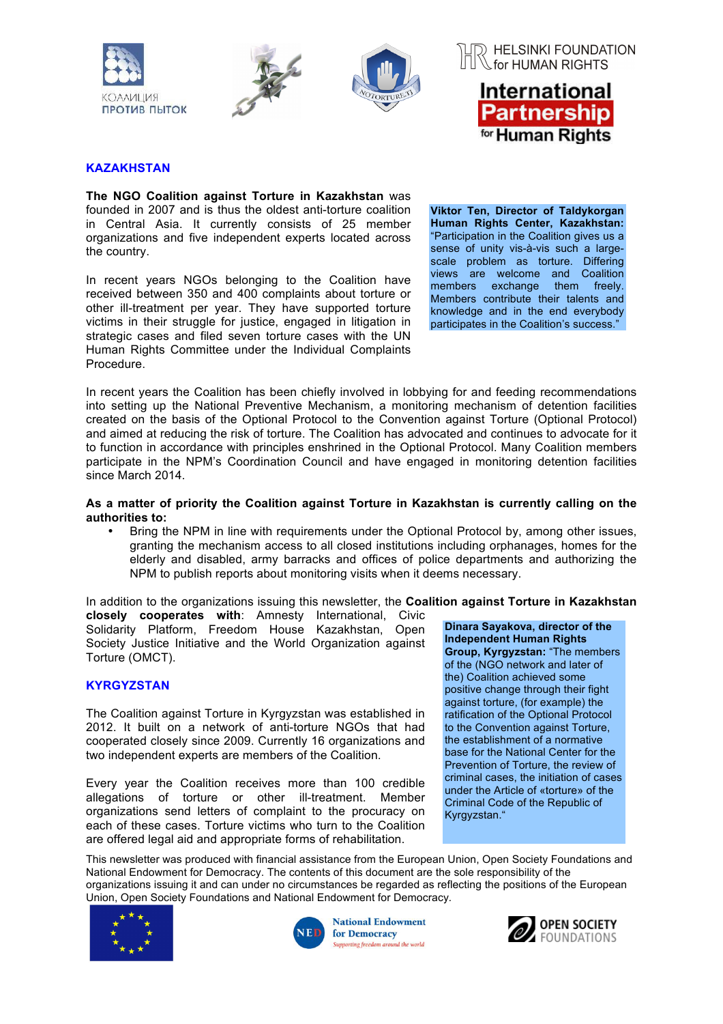







#### **KAZAKHSTAN**

**The NGO Coalition against Torture in Kazakhstan** was founded in 2007 and is thus the oldest anti-torture coalition in Central Asia. It currently consists of 25 member organizations and five independent experts located across the country.

In recent years NGOs belonging to the Coalition have received between 350 and 400 complaints about torture or other ill-treatment per year. They have supported torture victims in their struggle for justice, engaged in litigation in strategic cases and filed seven torture cases with the UN Human Rights Committee under the Individual Complaints Procedure.

**Viktor Ten, Director of Taldykorgan Human Rights Center, Kazakhstan:** "Participation in the Coalition gives us a sense of unity vis-à-vis such a largescale problem as torture. Differing views are welcome and Coalition members exchange them freely. Members contribute their talents and knowledge and in the end everybody participates in the Coalition's success."

In recent years the Coalition has been chiefly involved in lobbying for and feeding recommendations into setting up the National Preventive Mechanism, a monitoring mechanism of detention facilities created on the basis of the Optional Protocol to the Convention against Torture (Optional Protocol) and aimed at reducing the risk of torture. The Coalition has advocated and continues to advocate for it to function in accordance with principles enshrined in the Optional Protocol. Many Coalition members participate in the NPM's Coordination Council and have engaged in monitoring detention facilities since March 2014.

#### **As a matter of priority the Coalition against Torture in Kazakhstan is currently calling on the authorities to:**

• Bring the NPM in line with requirements under the Optional Protocol by, among other issues, granting the mechanism access to all closed institutions including orphanages, homes for the elderly and disabled, army barracks and offices of police departments and authorizing the NPM to publish reports about monitoring visits when it deems necessary.

In addition to the organizations issuing this newsletter, the **Coalition against Torture in Kazakhstan** 

**closely cooperates with**: Amnesty International, Civic Solidarity Platform, Freedom House Kazakhstan, Open Society Justice Initiative and the World Organization against Torture (OMCT).

#### **KYRGYZSTAN**

The Coalition against Torture in Kyrgyzstan was established in 2012. It built on a network of anti-torture NGOs that had cooperated closely since 2009. Currently 16 organizations and two independent experts are members of the Coalition.

Every year the Coalition receives more than 100 credible allegations of torture or other ill-treatment. Member organizations send letters of complaint to the procuracy on each of these cases. Torture victims who turn to the Coalition are offered legal aid and appropriate forms of rehabilitation.

**Dinara Sayakova, director of the Independent Human Rights Group, Kyrgyzstan:** "The members of the (NGO network and later of the) Coalition achieved some positive change through their fight against torture, (for example) the ratification of the Optional Protocol to the Convention against Torture, the establishment of a normative base for the National Center for the Prevention of Torture, the review of criminal cases, the initiation of cases under the Article of «torture» of the Criminal Code of the Republic of Kyrgyzstan."

This newsletter was produced with financial assistance from the European Union, Open Society Foundations and National Endowment for Democracy. The contents of this document are the sole responsibility of the organizations issuing it and can under no circumstances be regarded as reflecting the positions of the European Union, Open Society Foundations and National Endowment for Democracy*.*





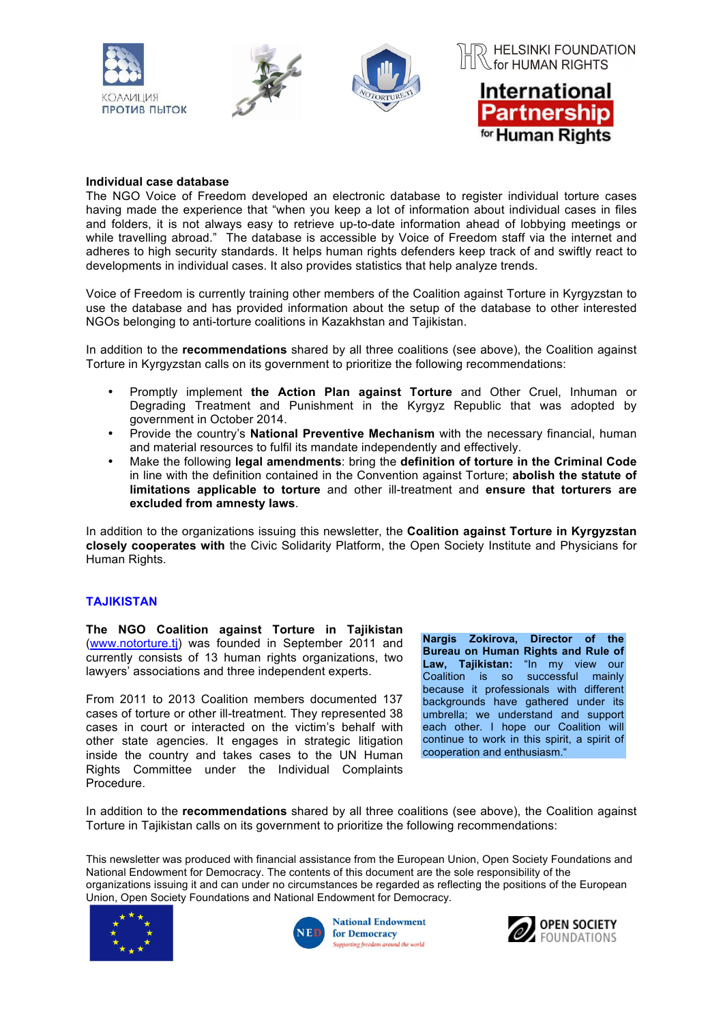

#### **Individual case database**

The NGO Voice of Freedom developed an electronic database to register individual torture cases having made the experience that "when you keep a lot of information about individual cases in files and folders, it is not always easy to retrieve up-to-date information ahead of lobbying meetings or while travelling abroad." The database is accessible by Voice of Freedom staff via the internet and adheres to high security standards. It helps human rights defenders keep track of and swiftly react to developments in individual cases. It also provides statistics that help analyze trends.

Voice of Freedom is currently training other members of the Coalition against Torture in Kyrgyzstan to use the database and has provided information about the setup of the database to other interested NGOs belonging to anti-torture coalitions in Kazakhstan and Tajikistan.

In addition to the **recommendations** shared by all three coalitions (see above), the Coalition against Torture in Kyrgyzstan calls on its government to prioritize the following recommendations:

- Promptly implement **the Action Plan against Torture** and Other Cruel, Inhuman or Degrading Treatment and Punishment in the Kyrgyz Republic that was adopted by government in October 2014.
- Provide the country's **National Preventive Mechanism** with the necessary financial, human and material resources to fulfil its mandate independently and effectively.
- Make the following **legal amendments**: bring the **definition of torture in the Criminal Code** in line with the definition contained in the Convention against Torture; **abolish the statute of limitations applicable to torture** and other ill-treatment and **ensure that torturers are excluded from amnesty laws**.

In addition to the organizations issuing this newsletter, the **Coalition against Torture in Kyrgyzstan closely cooperates with** the Civic Solidarity Platform, the Open Society Institute and Physicians for Human Rights.

#### **TAJIKISTAN**

**The NGO Coalition against Torture in Tajikistan**  (www.notorture.tj) was founded in September 2011 and currently consists of 13 human rights organizations, two lawyers' associations and three independent experts.

From 2011 to 2013 Coalition members documented 137 cases of torture or other ill-treatment. They represented 38 cases in court or interacted on the victim's behalf with other state agencies. It engages in strategic litigation inside the country and takes cases to the UN Human Rights Committee under the Individual Complaints Procedure.

**Nargis Zokirova, Director of the Bureau on Human Rights and Rule of Law, Tajikistan:** "In my view our Coalition is so successful mainly because it professionals with different backgrounds have gathered under its umbrella; we understand and support each other. I hope our Coalition will continue to work in this spirit, a spirit of cooperation and enthusiasm."

In addition to the **recommendations** shared by all three coalitions (see above), the Coalition against Torture in Tajikistan calls on its government to prioritize the following recommendations:

This newsletter was produced with financial assistance from the European Union, Open Society Foundations and National Endowment for Democracy. The contents of this document are the sole responsibility of the organizations issuing it and can under no circumstances be regarded as reflecting the positions of the European Union, Open Society Foundations and National Endowment for Democracy*.*





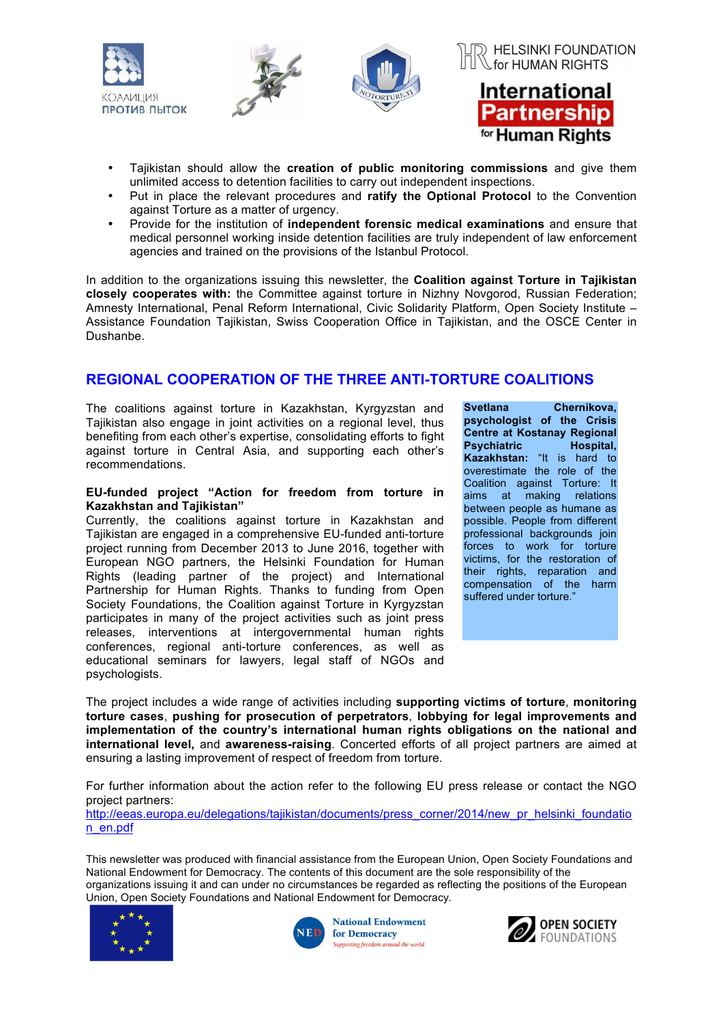

- Tajikistan should allow the **creation of public monitoring commissions** and give them unlimited access to detention facilities to carry out independent inspections.
- Put in place the relevant procedures and **ratify the Optional Protocol** to the Convention against Torture as a matter of urgency.
- Provide for the institution of **independent forensic medical examinations** and ensure that medical personnel working inside detention facilities are truly independent of law enforcement agencies and trained on the provisions of the Istanbul Protocol.

In addition to the organizations issuing this newsletter, the **Coalition against Torture in Tajikistan closely cooperates with:** the Committee against torture in Nizhny Novgorod, Russian Federation; Amnesty International, Penal Reform International, Civic Solidarity Platform, Open Society Institute – Assistance Foundation Tajikistan, Swiss Cooperation Office in Tajikistan, and the OSCE Center in Dushanbe.

## **REGIONAL COOPERATION OF THE THREE ANTI-TORTURE COALITIONS**

The coalitions against torture in Kazakhstan, Kyrgyzstan and Tajikistan also engage in joint activities on a regional level, thus benefiting from each other's expertise, consolidating efforts to fight against torture in Central Asia, and supporting each other's recommendations.

#### **EU-funded project "Action for freedom from torture in Kazakhstan and Tajikistan"**

Currently, the coalitions against torture in Kazakhstan and Tajikistan are engaged in a comprehensive EU-funded anti-torture project running from December 2013 to June 2016, together with European NGO partners, the Helsinki Foundation for Human Rights (leading partner of the project) and International Partnership for Human Rights. Thanks to funding from Open Society Foundations, the Coalition against Torture in Kyrgyzstan participates in many of the project activities such as joint press releases, interventions at intergovernmental human rights conferences, regional anti-torture conferences, as well as educational seminars for lawyers, legal staff of NGOs and psychologists.

**Svetlana Chernikova, psychologist of the Crisis Centre at Kostanay Regional Psychiatric Hospital, Kazakhstan:** "It is hard to overestimate the role of the Coalition against Torture: It aims at making relations between people as humane as possible. People from different professional backgrounds join forces to work for torture victims, for the restoration of their rights, reparation and compensation of the harm suffered under torture."

The project includes a wide range of activities including **supporting victims of torture**, **monitoring torture cases**, **pushing for prosecution of perpetrators**, **lobbying for legal improvements and implementation of the country's international human rights obligations on the national and international level,** and **awareness-raising**. Concerted efforts of all project partners are aimed at ensuring a lasting improvement of respect of freedom from torture.

For further information about the action refer to the following EU press release or contact the NGO project partners:

http://eeas.europa.eu/delegations/tajikistan/documents/press\_corner/2014/new\_pr\_helsinki\_foundatio n\_en.pdf

This newsletter was produced with financial assistance from the European Union, Open Society Foundations and National Endowment for Democracy. The contents of this document are the sole responsibility of the organizations issuing it and can under no circumstances be regarded as reflecting the positions of the European Union, Open Society Foundations and National Endowment for Democracy*.*